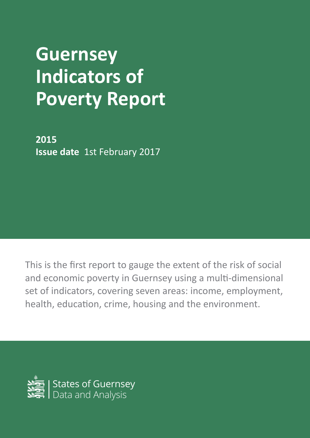# **Guernsey Indicators of Poverty Report**

**2015 Issue date** 1st February 2017

This is the first report to gauge the extent of the risk of social and economic poverty in Guernsey using a multi-dimensional set of indicators, covering seven areas: income, employment, health, education, crime, housing and the environment.

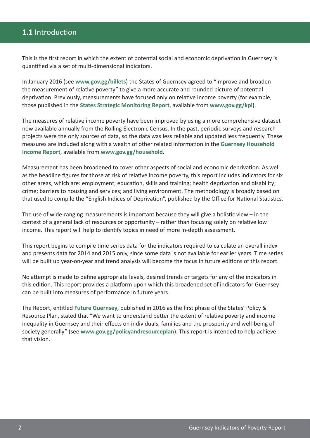## **1.1** Introduction

This is the first report in which the extent of potential social and economic deprivation in Guernsey is quantified via a set of multi-dimensional indicators.

In January 2016 (see **www.gov.gg/billets**) the States of Guernsey agreed to "improve and broaden the measurement of relative poverty" to give a more accurate and rounded picture of potential deprivation. Previously, measurements have focused only on relative income poverty (for example, those published in the **States Strategic Monitoring Report**, available from **www.gov.gg/kpi**).

The measures of relative income poverty have been improved by using a more comprehensive dataset now available annually from the Rolling Electronic Census. In the past, periodic surveys and research projects were the only sources of data, so the data was less reliable and updated less frequently. These measures are included along with a wealth of other related information in the **Guernsey Household Income Report**, available from **www.gov.gg/household**.

Measurement has been broadened to cover other aspects of social and economic deprivation. As well as the headline figures for those at risk of relative income poverty, this report includes indicators for six other areas, which are: employment; education, skills and training; health deprivation and disability; crime; barriers to housing and services; and living environment. The methodology is broadly based on that used to compile the "English Indices of Deprivation", published by the Office for National Statistics.

The use of wide-ranging measurements is important because they will give a holistic view  $-$  in the context of a general lack of resources or opportunity – rather than focusing solely on relative low income. This report will help to identify topics in need of more in-depth assessment.

This report begins to compile time series data for the indicators required to calculate an overall index and presents data for 2014 and 2015 only, since some data is not available for earlier years. Time series will be built up year-on-year and trend analysis will become the focus in future editions of this report.

No attempt is made to define appropriate levels, desired trends or targets for any of the indicators in this edition. This report provides a platform upon which this broadened set of indicators for Guernsey can be built into measures of performance in future years.

The Report, entitled **Future Guernsey**, published in 2016 as the first phase of the States' Policy & Resource Plan, stated that "We want to understand better the extent of relative poverty and income inequality in Guernsey and their effects on individuals, families and the prosperity and well-being of society generally" (see **www.gov.gg/policyandresourceplan**). This report is intended to help achieve that vision.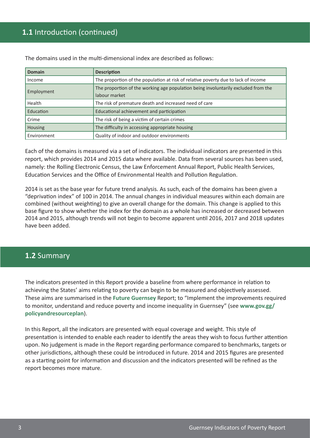## **1.1** Introduction (continued)

| Domain         | <b>Description</b>                                                                 |
|----------------|------------------------------------------------------------------------------------|
| Income         | The proportion of the population at risk of relative poverty due to lack of income |
|                | The proportion of the working age population being involuntarily excluded from the |
| Employment     | labour market                                                                      |
| Health         | The risk of premature death and increased need of care                             |
| Education      | Educational achievement and participation                                          |
| Crime          | The risk of being a victim of certain crimes                                       |
| <b>Housing</b> | The difficulty in accessing appropriate housing                                    |
| Environment    | Quality of indoor and outdoor environments                                         |

The domains used in the multi-dimensional index are described as follows:

Each of the domains is measured via a set of indicators. The individual indicators are presented in this report, which provides 2014 and 2015 data where available. Data from several sources has been used, namely: the Rolling Electronic Census, the Law Enforcement Annual Report, Public Health Services, Education Services and the Office of Environmental Health and Pollution Regulation.

2014 is set as the base year for future trend analysis. As such, each of the domains has been given a "deprivation index" of 100 in 2014. The annual changes in individual measures within each domain are combined (without weighting) to give an overall change for the domain. This change is applied to this base figure to show whether the index for the domain as a whole has increased or decreased between 2014 and 2015, although trends will not begin to become apparent until 2016, 2017 and 2018 updates have been added.

#### **1.2** Summary

The indicators presented in this Report provide a baseline from where performance in relation to achieving the States' aims relating to poverty can begin to be measured and objectively assessed. These aims are summarised in the **Future Guernsey** Report; to "Implement the improvements required to monitor, understand and reduce poverty and income inequality in Guernsey" (see **www.gov.gg/ policyandresourceplan**).

In this Report, all the indicators are presented with equal coverage and weight. This style of presentation is intended to enable each reader to identify the areas they wish to focus further attention upon. No judgement is made in the Report regarding performance compared to benchmarks, targets or other jurisdictions, although these could be introduced in future. 2014 and 2015 figures are presented as a starting point for information and discussion and the indicators presented will be refined as the report becomes more mature.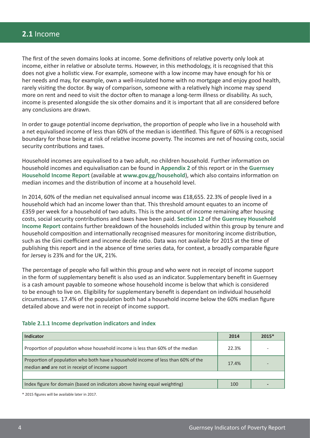#### **2.1** Income

The first of the seven domains looks at income. Some definitions of relative poverty only look at income, either in relative or absolute terms. However, in this methodology, it is recognised that this does not give a holistic view. For example, someone with a low income may have enough for his or her needs and may, for example, own a well-insulated home with no mortgage and enjoy good health, rarely visiting the doctor. By way of comparison, someone with a relatively high income may spend more on rent and need to visit the doctor often to manage a long-term illness or disability. As such, income is presented alongside the six other domains and it is important that all are considered before any conclusions are drawn.

In order to gauge potential income deprivation, the proportion of people who live in a household with a net equivalised income of less than 60% of the median is identified. This figure of 60% is a recognised boundary for those being at risk of relative income poverty. The incomes are net of housing costs, social security contributions and taxes.

Household incomes are equivalised to a two adult, no children household. Further information on household incomes and equivalisation can be found in **Appendix 2** of this report or in the **Guernsey Household Income Report** (available at **www.gov.gg/household**), which also contains information on median incomes and the distribution of income at a household level.

In 2014, 60% of the median net equivalised annual income was £18,655. 22.3% of people lived in a household which had an income lower than that. This threshold amount equates to an income of £359 per week for a household of two adults. This is the amount of income remaining after housing costs, social security contributions and taxes have been paid. **Section 12** of the **Guernsey Household Income Report** contains further breakdown of the households included within this group by tenure and household composition and internationally recognised measures for monitoring income distribution, such as the Gini coefficient and income decile ratio. Data was not available for 2015 at the time of publishing this report and in the absence of time series data, for context, a broadly comparable figure for Jersey is 23% and for the UK, 21%.

The percentage of people who fall within this group and who were not in receipt of income support in the form of supplementary benefit is also used as an indicator. Supplementary benefit in Guernsey is a cash amount payable to someone whose household income is below that which is considered to be enough to live on. Eligibility for supplementary benefit is dependant on individual household circumstances. 17.4% of the population both had a household income below the 60% median figure detailed above and were not in receipt of income support.

#### **Table 2.1.1 Income deprivation indicators and index**

| <b>Indicator</b>                                                                                                                     | 2014 | $2015*$ |
|--------------------------------------------------------------------------------------------------------------------------------------|------|---------|
| Proportion of population whose household income is less than 60% of the median                                                       |      |         |
| Proportion of population who both have a household income of less than 60% of the<br>median and are not in receipt of income support |      |         |
|                                                                                                                                      |      |         |
| Index figure for domain (based on indicators above having equal weighting)                                                           | 100  |         |

\* 2015 figures will be available later in 2017.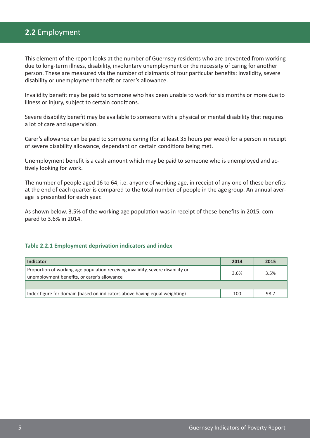## **2.2** Employment

This element of the report looks at the number of Guernsey residents who are prevented from working due to long-term illness, disability, involuntary unemployment or the necessity of caring for another person. These are measured via the number of claimants of four particular benefits: invalidity, severe disability or unemployment benefit or carer's allowance.

Invalidity benefit may be paid to someone who has been unable to work for six months or more due to illness or injury, subject to certain conditions.

Severe disability benefit may be available to someone with a physical or mental disability that requires a lot of care and supervision.

Carer's allowance can be paid to someone caring (for at least 35 hours per week) for a person in receipt of severe disability allowance, dependant on certain conditions being met.

Unemployment benefit is a cash amount which may be paid to someone who is unemployed and actively looking for work.

The number of people aged 16 to 64, i.e. anyone of working age, in receipt of any one of these benefits at the end of each quarter is compared to the total number of people in the age group. An annual average is presented for each year.

As shown below, 3.5% of the working age population was in receipt of these benefits in 2015, compared to 3.6% in 2014.

#### **Table 2.2.1 Employment deprivation indicators and index**

| Indicator                                                                                                                      |  | 2015 |
|--------------------------------------------------------------------------------------------------------------------------------|--|------|
| Proportion of working age population receiving invalidity, severe disability or<br>unemployment benefits, or carer's allowance |  | 3.5% |
|                                                                                                                                |  |      |
| Index figure for domain (based on indicators above having equal weighting)                                                     |  | 98.7 |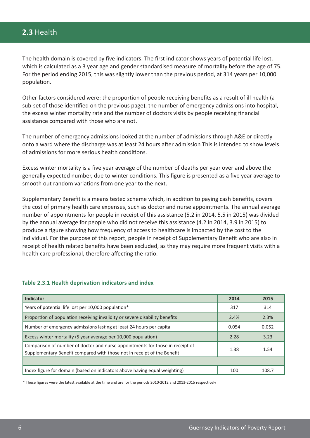The health domain is covered by five indicators. The first indicator shows years of potential life lost, which is calculated as a 3 year age and gender standardised measure of mortality before the age of 75. For the period ending 2015, this was slightly lower than the previous period, at 314 years per 10,000 population.

Other factors considered were: the proportion of people receiving benefits as a result of ill health (a sub-set of those identified on the previous page), the number of emergency admissions into hospital, the excess winter mortality rate and the number of doctors visits by people receiving financial assistance compared with those who are not.

The number of emergency admissions looked at the number of admissions through A&E or directly onto a ward where the discharge was at least 24 hours after admission This is intended to show levels of admissions for more serious health conditions.

Excess winter mortality is a five year average of the number of deaths per year over and above the generally expected number, due to winter conditions. This figure is presented as a five year average to smooth out random variations from one year to the next.

Supplementary Benefit is a means tested scheme which, in addition to paying cash benefits, covers the cost of primary health care expenses, such as doctor and nurse appointments. The annual average number of appointments for people in receipt of this assistance (5.2 in 2014, 5.5 in 2015) was divided by the annual average for people who did not receive this assistance (4.2 in 2014, 3.9 in 2015) to produce a figure showing how frequency of access to healthcare is impacted by the cost to the individual. For the purpose of this report, people in receipt of Supplementary Benefit who are also in receipt of health related benefits have been excluded, as they may require more frequent visits with a health care professional, therefore affecting the ratio.

| <b>Indicator</b>                                                                                                                                         | 2014 | 2015  |
|----------------------------------------------------------------------------------------------------------------------------------------------------------|------|-------|
| Years of potential life lost per 10,000 population*                                                                                                      |      | 314   |
| Proportion of population receiving invalidity or severe disability benefits                                                                              | 2.4% | 2.3%  |
| Number of emergency admissions lasting at least 24 hours per capita                                                                                      |      | 0.052 |
| Excess winter mortality (5 year average per 10,000 population)                                                                                           |      | 3.23  |
| Comparison of number of doctor and nurse appointments for those in receipt of<br>Supplementary Benefit compared with those not in receipt of the Benefit |      | 1.54  |
|                                                                                                                                                          |      |       |
| Index figure for domain (based on indicators above having equal weighting)                                                                               | 100  | 108.7 |

#### **Table 2.3.1 Health deprivation indicators and index**

\* These figures were the latest available at the time and are for the periods 2010-2012 and 2013-2015 respectively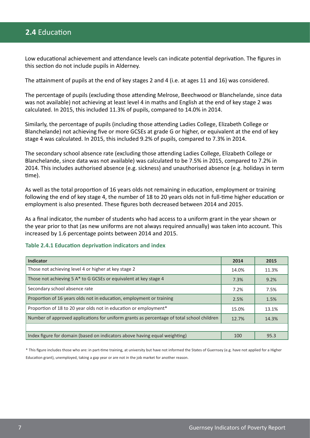## **2.4** Education

Low educational achievement and attendance levels can indicate potential deprivation. The figures in this section do not include pupils in Alderney.

The attainment of pupils at the end of key stages 2 and 4 (i.e. at ages 11 and 16) was considered.

The percentage of pupils (excluding those attending Melrose, Beechwood or Blanchelande, since data was not available) not achieving at least level 4 in maths and English at the end of key stage 2 was calculated. In 2015, this included 11.3% of pupils, compared to 14.0% in 2014.

Similarly, the percentage of pupils (including those attending Ladies College, Elizabeth College or Blanchelande) not achieving five or more GCSEs at grade G or higher, or equivalent at the end of key stage 4 was calculated. In 2015, this included 9.2% of pupils, compared to 7.3% in 2014.

The secondary school absence rate (excluding those attending Ladies College, Elizabeth College or Blanchelande, since data was not available) was calculated to be 7.5% in 2015, compared to 7.2% in 2014. This includes authorised absence (e.g. sickness) and unauthorised absence (e.g. holidays in term time).

As well as the total proportion of 16 years olds not remaining in education, employment or training following the end of key stage 4, the number of 18 to 20 years olds not in full-time higher education or employment is also presented. These figures both decreased between 2014 and 2015.

As a final indicator, the number of students who had access to a uniform grant in the year shown or the year prior to that (as new uniforms are not always required annually) was taken into account. This increased by 1.6 percentage points between 2014 and 2015.

#### **Table 2.4.1 Education deprivation indicators and index**

| <b>Indicator</b>                                                                          | 2014  | 2015  |
|-------------------------------------------------------------------------------------------|-------|-------|
| Those not achieving level 4 or higher at key stage 2                                      | 14.0% | 11.3% |
| Those not achieving 5 A* to G GCSEs or equivalent at key stage 4                          | 7.3%  | 9.2%  |
| Secondary school absence rate                                                             |       | 7.5%  |
| Proportion of 16 years olds not in education, employment or training                      |       | 1.5%  |
| Proportion of 18 to 20 year olds not in education or employment*                          |       | 13.1% |
| Number of approved applications for uniform grants as percentage of total school children |       | 14.3% |
|                                                                                           |       |       |
| Index figure for domain (based on indicators above having equal weighting)                | 100   | 95.3  |

\* This figure includes those who are: in part-time training, at university but have not informed the States of Guernsey (e.g. have not applied for a Higher Education grant), unemployed, taking a gap year or are not in the job market for another reason.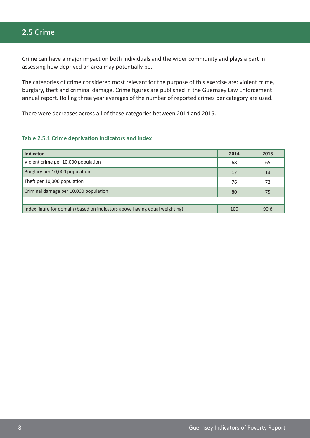# **2.5** Crime

Crime can have a major impact on both individuals and the wider community and plays a part in assessing how deprived an area may potentially be.

The categories of crime considered most relevant for the purpose of this exercise are: violent crime, burglary, theft and criminal damage. Crime figures are published in the Guernsey Law Enforcement annual report. Rolling three year averages of the number of reported crimes per category are used.

There were decreases across all of these categories between 2014 and 2015.

#### **Table 2.5.1 Crime deprivation indicators and index**

| <b>Indicator</b>                                                           |     | 2015 |
|----------------------------------------------------------------------------|-----|------|
| Violent crime per 10,000 population                                        | 68  | 65   |
| Burglary per 10,000 population                                             |     | 13   |
| Theft per 10,000 population                                                |     | 72   |
| Criminal damage per 10,000 population                                      |     | 75   |
|                                                                            |     |      |
| Index figure for domain (based on indicators above having equal weighting) | 100 | 90.6 |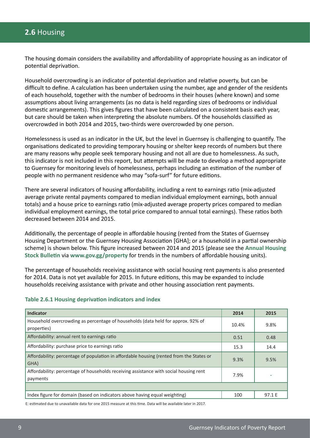# **2.6** Housing

The housing domain considers the availability and affordability of appropriate housing as an indicator of potential deprivation.

Household overcrowding is an indicator of potential deprivation and relative poverty, but can be difficult to define. A calculation has been undertaken using the number, age and gender of the residents of each household, together with the number of bedrooms in their houses (where known) and some assumptions about living arrangements (as no data is held regarding sizes of bedrooms or individual domestic arrangements). This gives figures that have been calculated on a consistent basis each year, but care should be taken when interpreting the absolute numbers. Of the households classified as overcrowded in both 2014 and 2015, two-thirds were overcrowded by one person.

Homelessness is used as an indicator in the UK, but the level in Guernsey is challenging to quantify. The organisations dedicated to providing temporary housing or shelter keep records of numbers but there are many reasons why people seek temporary housing and not all are due to homelessness. As such, this indicator is not included in this report, but attempts will be made to develop a method appropriate to Guernsey for monitoring levels of homelessness, perhaps including an estimation of the number of people with no permanent residence who may "sofa-surf" for future editions.

There are several indicators of housing affordability, including a rent to earnings ratio (mix-adjusted average private rental payments compared to median individual employment earnings, both annual totals) and a house price to earnings ratio (mix-adjusted average property prices compared to median individual employment earnings, the total price compared to annual total earnings). These ratios both decreased between 2014 and 2015.

Additionally, the percentage of people in affordable housing (rented from the States of Guernsey Housing Department or the Guernsey Housing Association [GHA]; or a household in a partial ownership scheme) is shown below. This figure increased between 2014 and 2015 (please see the **Annual Housing Stock Bulletin** via **www.gov.gg/property** for trends in the numbers of affordable housing units).

The percentage of households receiving assistance with social housing rent payments is also presented for 2014. Data is not yet available for 2015. In future editions, this may be expanded to include households receiving assistance with private and other housing association rent payments.

| <b>Indicator</b>                                                                                  | 2014  | 2015   |
|---------------------------------------------------------------------------------------------------|-------|--------|
| Household overcrowding as percentage of households (data held for approx. 92% of<br>properties)   | 10.4% | 9.8%   |
| Affordability: annual rent to earnings ratio                                                      | 0.51  | 0.48   |
| Affordability: purchase price to earnings ratio                                                   |       | 14.4   |
| Affordability: percentage of population in affordable housing (rented from the States or<br>GHA)  | 9.3%  | 9.5%   |
| Affordability: percentage of households receiving assistance with social housing rent<br>payments |       |        |
|                                                                                                   |       |        |
| Index figure for domain (based on indicators above having equal weighting)                        | 100   | 97.1 E |

#### **Table 2.6.1 Housing deprivation indicators and index**

E: estimated due to unavailable data for one 2015 measure at this time. Data will be available later in 2017.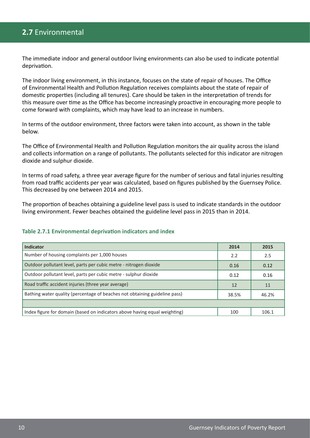# **2.7** Environmental

The immediate indoor and general outdoor living environments can also be used to indicate potential deprivation.

The indoor living environment, in this instance, focuses on the state of repair of houses. The Office of Environmental Health and Pollution Regulation receives complaints about the state of repair of domestic properties (including all tenures). Care should be taken in the interpretation of trends for this measure over time as the Office has become increasingly proactive in encouraging more people to come forward with complaints, which may have lead to an increase in numbers.

In terms of the outdoor environment, three factors were taken into account, as shown in the table below.

The Office of Environmental Health and Pollution Regulation monitors the air quality across the island and collects information on a range of pollutants. The pollutants selected for this indicator are nitrogen dioxide and sulphur dioxide.

In terms of road safety, a three year average figure for the number of serious and fatal injuries resulting from road traffic accidents per year was calculated, based on figures published by the Guernsey Police. This decreased by one between 2014 and 2015.

The proportion of beaches obtaining a guideline level pass is used to indicate standards in the outdoor living environment. Fewer beaches obtained the guideline level pass in 2015 than in 2014.

#### **Table 2.7.1 Environmental deprivation indicators and index**

| <b>Indicator</b>                                                           | 2014 | 2015  |
|----------------------------------------------------------------------------|------|-------|
| Number of housing complaints per 1,000 houses                              |      | 2.5   |
| Outdoor pollutant level, parts per cubic metre - nitrogen dioxide          |      | 0.12  |
| Outdoor pollutant level, parts per cubic metre - sulphur dioxide           |      | 0.16  |
| Road traffic accident injuries (three year average)                        |      | 11    |
| Bathing water quality (percentage of beaches not obtaining guideline pass) |      | 46.2% |
|                                                                            |      |       |
| Index figure for domain (based on indicators above having equal weighting) | 100  | 106.1 |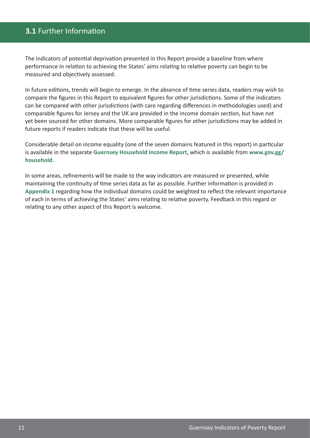# **3.1** Further Information

The indicators of potential deprivation presented in this Report provide a baseline from where performance in relation to achieving the States' aims relating to relative poverty can begin to be measured and objectively assessed.

In future editions, trends will begin to emerge. In the absence of time series data, readers may wish to compare the figures in this Report to equivalent figures for other jurisdictions. Some of the indicators can be compared with other jurisdictions (with care regarding differences in methodologies used) and comparable figures for Jersey and the UK are provided in the income domain section, but have not yet been sourced for other domains. More comparable figures for other jurisdictions may be added in future reports if readers indicate that these will be useful.

Considerable detail on income equality (one of the seven domains featured in this report) in particular is available in the separate **Guernsey Household Income Report**, which is available from **www.gov.gg/ household**.

In some areas, refinements will be made to the way indicators are measured or presented, while maintaining the continuity of time series data as far as possible. Further information is provided in **Appendix 1** regarding how the individual domains could be weighted to reflect the relevant importance of each in terms of achieving the States' aims relating to relative poverty. Feedback in this regard or relating to any other aspect of this Report is welcome.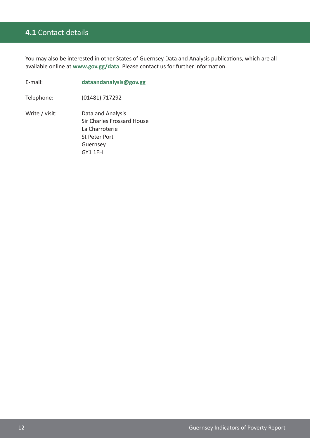# **4.1** Contact details

You may also be interested in other States of Guernsey Data and Analysis publications, which are all available online at **www.gov.gg/data**. Please contact us for further information.

| E-mail:        | dataandanalysis@gov.gg                                                                                    |
|----------------|-----------------------------------------------------------------------------------------------------------|
| Telephone:     | (01481) 717292                                                                                            |
| Write / visit: | Data and Analysis<br>Sir Charles Frossard House<br>La Charroterie<br>St Peter Port<br>Guernsey<br>GY1 1FH |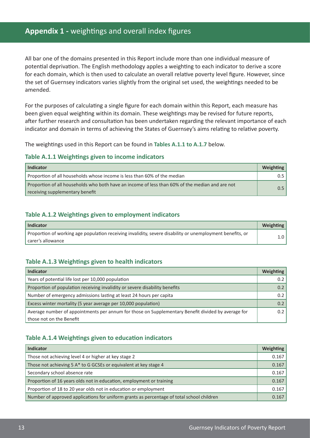## **Appendix 1 -** weightings and overall index figures

All bar one of the domains presented in this Report include more than one individual measure of potential deprivation. The English methodology apples a weighting to each indicator to derive a score for each domain, which is then used to calculate an overall relative poverty level figure. However, since the set of Guernsey indicators varies slightly from the original set used, the weightings needed to be amended.

For the purposes of calculating a single figure for each domain within this Report, each measure has been given equal weighting within its domain. These weightings may be revised for future reports, after further research and consultation has been undertaken regarding the relevant importance of each indicator and domain in terms of achieving the States of Guernsey's aims relating to relative poverty.

The weightings used in this Report can be found in **Tables A.1.1 to A.1.7** below.

#### **Table A.1.1 Weightings given to income indicators**

| <b>Indicator</b>                                                                                                                   |  |
|------------------------------------------------------------------------------------------------------------------------------------|--|
| Proportion of all households whose income is less than 60% of the median                                                           |  |
| Proportion of all households who both have an income of less than 60% of the median and are not<br>receiving supplementary benefit |  |

#### **Table A.1.2 Weightings given to employment indicators**

| Indicator                                                                                                 | Weighting |
|-----------------------------------------------------------------------------------------------------------|-----------|
| Proportion of working age population receiving invalidity, severe disability or unemployment benefits, or |           |
| l carer's allowance                                                                                       |           |

#### **Table A.1.3 Weightings given to health indicators**

| Indicator                                                                                          |     |
|----------------------------------------------------------------------------------------------------|-----|
| Years of potential life lost per 10,000 population                                                 |     |
| Proportion of population receiving invalidity or severe disability benefits                        | 0.2 |
| Number of emergency admissions lasting at least 24 hours per capita                                |     |
| Excess winter mortality (5 year average per 10,000 population)                                     |     |
| Average number of appointments per annum for those on Supplementary Benefit divided by average for |     |
| l those not on the Benefit                                                                         |     |

#### **Table A.1.4 Weightings given to education indicators**

| <b>Indicator</b>                                                                          | <b>Weighting</b> |
|-------------------------------------------------------------------------------------------|------------------|
| Those not achieving level 4 or higher at key stage 2                                      | 0.167            |
| Those not achieving 5 A* to G GCSEs or equivalent at key stage 4                          | 0.167            |
| Secondary school absence rate                                                             | 0.167            |
| Proportion of 16 years olds not in education, employment or training                      | 0.167            |
| Proportion of 18 to 20 year olds not in education or employment                           | 0.167            |
| Number of approved applications for uniform grants as percentage of total school children | 0.167            |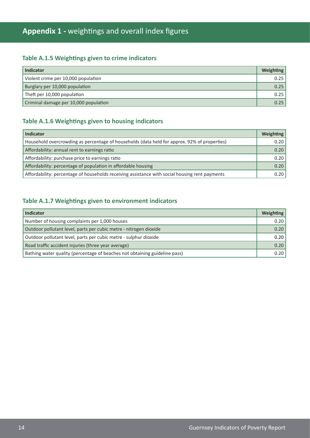# **Appendix 1 -** weightings and overall index figures

## **Table A.1.5 Weightings given to crime indicators**

| Indicator                             | Weighting |
|---------------------------------------|-----------|
| Violent crime per 10,000 population   | 0.25      |
| Burglary per 10,000 population        | 0.25      |
| Theft per 10,000 population           | 0.25      |
| Criminal damage per 10,000 population | 0.25      |

#### **Table A.1.6 Weightings given to housing indicators**

| <b>Indicator</b>                                                                               | Weighting |
|------------------------------------------------------------------------------------------------|-----------|
| Household overcrowding as percentage of households (data held for approx. 92% of properties)   | 0.20      |
| Affordability: annual rent to earnings ratio                                                   | 0.20      |
| Affordability: purchase price to earnings ratio                                                | 0.20      |
| Affordability: percentage of population in affordable housing                                  | 0.20      |
| Affordability: percentage of households receiving assistance with social housing rent payments | 0.20      |

#### **Table A.1.7 Weightings given to environment indicators**

| <b>Indicator</b>                                                           | <b>Weighting</b> |
|----------------------------------------------------------------------------|------------------|
| Number of housing complaints per 1,000 houses                              | 0.20             |
| Outdoor pollutant level, parts per cubic metre - nitrogen dioxide          | 0.20             |
| Outdoor pollutant level, parts per cubic metre - sulphur dioxide           | 0.20             |
| Road traffic accident injuries (three year average)                        | 0.20             |
| Bathing water quality (percentage of beaches not obtaining guideline pass) | 0.20             |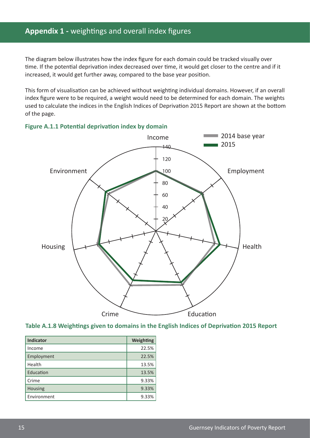# **Appendix 1 -** weightings and overall index figures

The diagram below illustrates how the index figure for each domain could be tracked visually over time. If the potential deprivation index decreased over time, it would get closer to the centre and if it increased, it would get further away, compared to the base year position.

This form of visualisation can be achieved without weighting individual domains. However, if an overall index figure were to be required, a weight would need to be determined for each domain. The weights used to calculate the indices in the English Indices of Deprivation 2015 Report are shown at the bottom of the page.







| <b>Indicator</b> | <b>Weighting</b> |
|------------------|------------------|
| Income           | 22.5%            |
| Employment       | 22.5%            |
| Health           | 13.5%            |
| Education        | 13.5%            |
| Crime            | 9.33%            |
| Housing          | 9.33%            |
| Environment      | 9.33%            |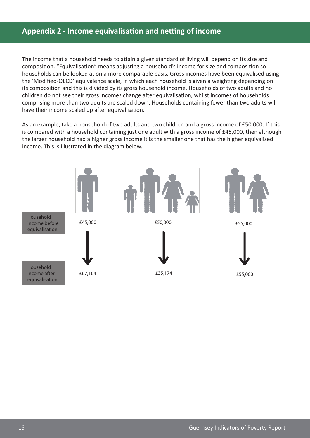# **Appendix 2 - Income equivalisation and netting of income**

The income that a household needs to attain a given standard of living will depend on its size and composition. "Equivalisation" means adjusting a household's income for size and composition so households can be looked at on a more comparable basis. Gross incomes have been equivalised using the 'Modified-OECD' equivalence scale, in which each household is given a weighting depending on its composition and this is divided by its gross household income. Households of two adults and no children do not see their gross incomes change after equivalisation, whilst incomes of households comprising more than two adults are scaled down. Households containing fewer than two adults will have their income scaled up after equivalisation.

As an example, take a household of two adults and two children and a gross income of £50,000. If this is compared with a household containing just one adult with a gross income of £45,000, then although the larger household had a higher gross income it is the smaller one that has the higher equivalised income. This is illustrated in the diagram below.

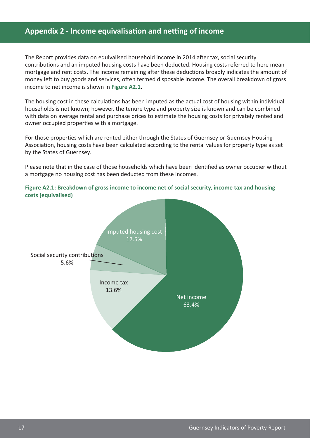## **Appendix 2 - Income equivalisation and netting of income**

The Report provides data on equivalised household income in 2014 after tax, social security contributions and an imputed housing costs have been deducted. Housing costs referred to here mean mortgage and rent costs. The income remaining after these deductions broadly indicates the amount of money left to buy goods and services, often termed disposable income. The overall breakdown of gross income to net income is shown in **Figure A2.1**.

The housing cost in these calculations has been imputed as the actual cost of housing within individual households is not known; however, the tenure type and property size is known and can be combined with data on average rental and purchase prices to estimate the housing costs for privately rented and owner occupied properties with a mortgage.

For those properties which are rented either through the States of Guernsey or Guernsey Housing Association, housing costs have been calculated according to the rental values for property type as set by the States of Guernsey.

Please note that in the case of those households which have been identified as owner occupier without a mortgage no housing cost has been deducted from these incomes.

**Figure A2.1: Breakdown of gross income to income net of social security, income tax and housing costs (equivalised)**